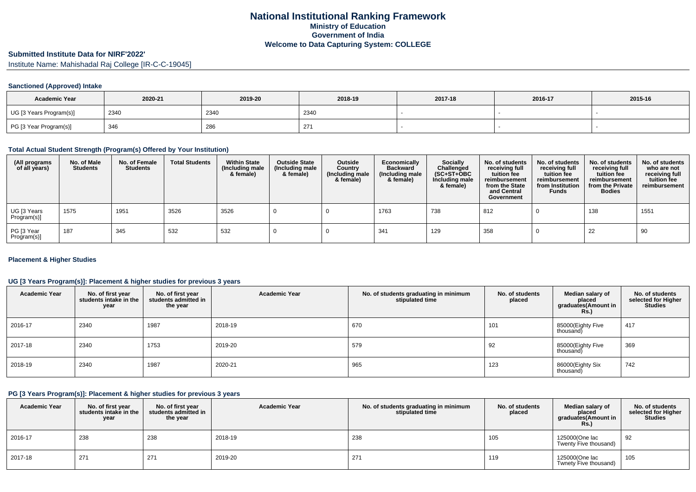# **Submitted Institute Data for NIRF'2022'**

Institute Name: Mahishadal Raj College [IR-C-C-19045]

## **Sanctioned (Approved) Intake**

| <b>Academic Year</b>    | 2020-21 | 2019-20 | 2018-19          | 2017-18 | 2016-17 | 2015-16 |
|-------------------------|---------|---------|------------------|---------|---------|---------|
| UG [3 Years Program(s)] | 2340    | 2340    | 2340             |         |         |         |
| PG [3 Year Program(s)]  | 346     | 286     | $\sim$<br>$\sim$ |         |         |         |

#### **Total Actual Student Strength (Program(s) Offered by Your Institution)**

| (All programs<br>of all years) | No. of Male<br><b>Students</b> | No. of Female<br><b>Students</b> | <b>Total Students</b> | <b>Within State</b><br>(Including male<br>& female) | <b>Outside State</b><br>(Including male<br>& female) | Outside<br>Country<br>(Including male<br>& female) | Economically<br><b>Backward</b><br>(Including male<br>& female) | <b>Socially</b><br>Challenged<br>$(SC+ST+OBC)$<br>Including male<br>& female) | No. of students<br>receiving full<br>tuition fee<br>reimbursement<br>from the State<br>and Central<br>Government | No. of students<br>receiving full<br>tuition fee<br>reimbursement<br>from Institution<br><b>Funds</b> | No. of students<br>receiving full<br>tuition fee<br>reimbursement<br>from the Private<br><b>Bodies</b> | No. of students<br>who are not<br>receiving full<br>tuition fee<br>reimbursement |
|--------------------------------|--------------------------------|----------------------------------|-----------------------|-----------------------------------------------------|------------------------------------------------------|----------------------------------------------------|-----------------------------------------------------------------|-------------------------------------------------------------------------------|------------------------------------------------------------------------------------------------------------------|-------------------------------------------------------------------------------------------------------|--------------------------------------------------------------------------------------------------------|----------------------------------------------------------------------------------|
| UG [3 Years<br>Program(s)]     | 1575                           | 1951                             | 3526                  | 3526                                                |                                                      |                                                    | 1763                                                            | 738                                                                           | 812                                                                                                              |                                                                                                       | 138                                                                                                    | 1551                                                                             |
| PG [3 Year<br>Program(s)]      | 187                            | 345                              | 532                   | 532                                                 |                                                      |                                                    | 341                                                             | 129                                                                           | 358                                                                                                              |                                                                                                       | 22                                                                                                     | 90                                                                               |

## **Placement & Higher Studies**

## **UG [3 Years Program(s)]: Placement & higher studies for previous 3 years**

| <b>Academic Year</b> | No. of first year<br>students intake in the<br>year | No. of first year<br>students admitted in<br>the year | <b>Academic Year</b> | No. of students graduating in minimum<br>stipulated time | No. of students<br>placed | Median salary of<br>placed<br>graduates(Amount in<br><b>Rs.)</b> | No. of students<br>selected for Higher<br><b>Studies</b> |
|----------------------|-----------------------------------------------------|-------------------------------------------------------|----------------------|----------------------------------------------------------|---------------------------|------------------------------------------------------------------|----------------------------------------------------------|
| 2016-17              | 2340                                                | 1987                                                  | 2018-19              | 670                                                      | 101                       | 85000(Eighty Five<br>thousand)                                   | 417                                                      |
| 2017-18              | 2340                                                | 1753                                                  | 2019-20              | 579                                                      | 92                        | 85000(Eighty Five<br>thousand)                                   | 369                                                      |
| 2018-19              | 2340                                                | 1987                                                  | 2020-21              | 965                                                      | 123                       | 86000(Eighty Six<br>thousand)                                    | 742                                                      |

#### **PG [3 Years Program(s)]: Placement & higher studies for previous 3 years**

| <b>Academic Year</b> | No. of first year<br>students intake in the<br>year | No. of first year<br>students admitted in<br>the year | <b>Academic Year</b> | No. of students graduating in minimum<br>stipulated time | No. of students<br>placed | Median salary of<br>placed<br>graduates(Amount in<br><b>Rs.)</b> | No. of students<br>selected for Higher<br><b>Studies</b> |
|----------------------|-----------------------------------------------------|-------------------------------------------------------|----------------------|----------------------------------------------------------|---------------------------|------------------------------------------------------------------|----------------------------------------------------------|
| 2016-17              | 238                                                 | 238                                                   | 2018-19              | 238                                                      | 105                       | 125000(One lac<br>Twenty Five thousand)                          | 92                                                       |
| 2017-18              | 271                                                 | 271                                                   | 2019-20              | 271                                                      | 119                       | 125000(One lac<br>Twnety Five thousand)                          | 105                                                      |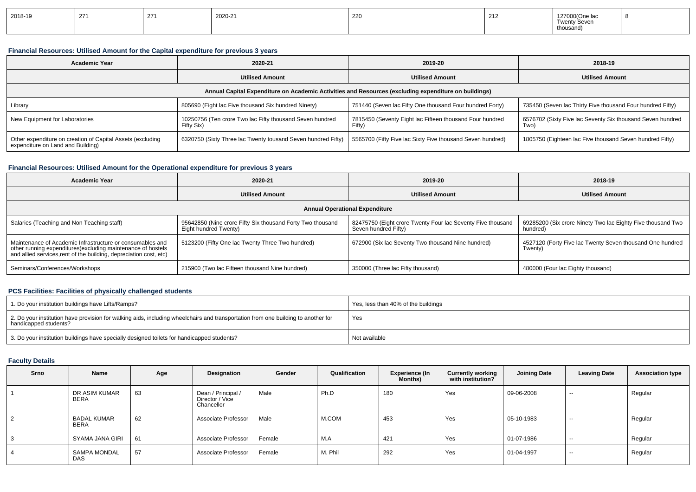| 2018-19 | 27<br><u>_ 1</u> | 274<br>- - | 2020-21 | 220 | 21<br>- 12 | 127000(One lac<br>$\sim$<br><b>Twenty Seven</b><br>thousand |  |
|---------|------------------|------------|---------|-----|------------|-------------------------------------------------------------|--|
|---------|------------------|------------|---------|-----|------------|-------------------------------------------------------------|--|

## **Financial Resources: Utilised Amount for the Capital expenditure for previous 3 years**

| <b>Academic Year</b>                                                                                 | 2020-21                                                                |                                                                    | 2018-19                                                            |  |  |  |  |  |  |
|------------------------------------------------------------------------------------------------------|------------------------------------------------------------------------|--------------------------------------------------------------------|--------------------------------------------------------------------|--|--|--|--|--|--|
|                                                                                                      | <b>Utilised Amount</b>                                                 | <b>Utilised Amount</b>                                             | <b>Utilised Amount</b>                                             |  |  |  |  |  |  |
| Annual Capital Expenditure on Academic Activities and Resources (excluding expenditure on buildings) |                                                                        |                                                                    |                                                                    |  |  |  |  |  |  |
| Library                                                                                              | 805690 (Eight lac Five thousand Six hundred Ninety)                    | 751440 (Seven lac Fifty One thousand Four hundred Forty)           | 735450 (Seven lac Thirty Five thousand Four hundred Fifty)         |  |  |  |  |  |  |
| New Equipment for Laboratories                                                                       | 10250756 (Ten crore Two lac Fifty thousand Seven hundred<br>Fifty Six) | 7815450 (Seventy Eight lac Fifteen thousand Four hundred<br>Fifty) | 6576702 (Sixty Five lac Seventy Six thousand Seven hundred<br>Two) |  |  |  |  |  |  |
| Other expenditure on creation of Capital Assets (excluding<br>expenditure on Land and Building)      | 6320750 (Sixty Three lac Twenty tousand Seven hundred Fifty)           | 5565700 (Fifty Five lac Sixty Five thousand Seven hundred)         | 1805750 (Eighteen lac Five thousand Seven hundred Fifty)           |  |  |  |  |  |  |

## **Financial Resources: Utilised Amount for the Operational expenditure for previous 3 years**

| <b>Academic Year</b>                                                                                                                                                                            | 2020-21                                                                             | 2019-20                                                                             | 2018-19                                                                 |  |  |
|-------------------------------------------------------------------------------------------------------------------------------------------------------------------------------------------------|-------------------------------------------------------------------------------------|-------------------------------------------------------------------------------------|-------------------------------------------------------------------------|--|--|
|                                                                                                                                                                                                 | <b>Utilised Amount</b>                                                              | <b>Utilised Amount</b>                                                              | <b>Utilised Amount</b>                                                  |  |  |
|                                                                                                                                                                                                 |                                                                                     | <b>Annual Operational Expenditure</b>                                               |                                                                         |  |  |
| Salaries (Teaching and Non Teaching staff)                                                                                                                                                      | 95642850 (Nine crore Fifty Six thousand Forty Two thousand<br>Eight hundred Twenty) | 82475750 (Eight crore Twenty Four lac Seventy Five thousand<br>Seven hundred Fifty) | 69285200 (Six crore Ninety Two lac Eighty Five thousand Two<br>hundred) |  |  |
| Maintenance of Academic Infrastructure or consumables and<br>other running expenditures (excluding maintenance of hostels<br>and allied services, rent of the building, depreciation cost, etc) | 5123200 (Fifty One lac Twenty Three Two hundred)                                    | 672900 (Six lac Seventy Two thousand Nine hundred)                                  | 4527120 (Forty Five lac Twenty Seven thousand One hundred<br>Twenty)    |  |  |
| Seminars/Conferences/Workshops                                                                                                                                                                  | 215900 (Two lac Fifteen thousand Nine hundred)                                      | 350000 (Three lac Fifty thousand)                                                   | 480000 (Four lac Eighty thousand)                                       |  |  |

## **PCS Facilities: Facilities of physically challenged students**

| 1. Do your institution buildings have Lifts/Ramps?                                                                                                         | Yes, less than 40% of the buildings |
|------------------------------------------------------------------------------------------------------------------------------------------------------------|-------------------------------------|
| 2. Do your institution have provision for walking aids, including wheelchairs and transportation from one building to another for<br>handicapped students? | Yes                                 |
| 3. Do your institution buildings have specially designed toilets for handicapped students?                                                                 | Not available                       |

## **Faculty Details**

| Srno | Name                              | Age | Designation                                         | Gender | Qualification | Experience (In<br><b>Months)</b> | <b>Currently working</b><br>with institution? | <b>Joining Date</b> | <b>Leaving Date</b> | <b>Association type</b> |
|------|-----------------------------------|-----|-----------------------------------------------------|--------|---------------|----------------------------------|-----------------------------------------------|---------------------|---------------------|-------------------------|
|      | DR ASIM KUMAR<br>BERA             | 63  | Dean / Principal /<br>Director / Vice<br>Chancellor | Male   | Ph.D          | 180                              | Yes                                           | 09-06-2008          | $-$                 | Regular                 |
| 2    | <b>BADAL KUMAR</b><br><b>BERA</b> | 62  | Associate Professor                                 | Male   | M.COM         | 453                              | Yes                                           | 05-10-1983          | $-$                 | Regular                 |
| 3    | SYAMA JANA GIRI                   | 61  | Associate Professor                                 | Female | M.A           | 421                              | Yes                                           | 01-07-1986          | $-$                 | Regular                 |
| 4    | SAMPA MONDAL<br><b>DAS</b>        | 57  | Associate Professor                                 | Female | M. Phil       | 292                              | Yes                                           | 01-04-1997          | $-$                 | Regular                 |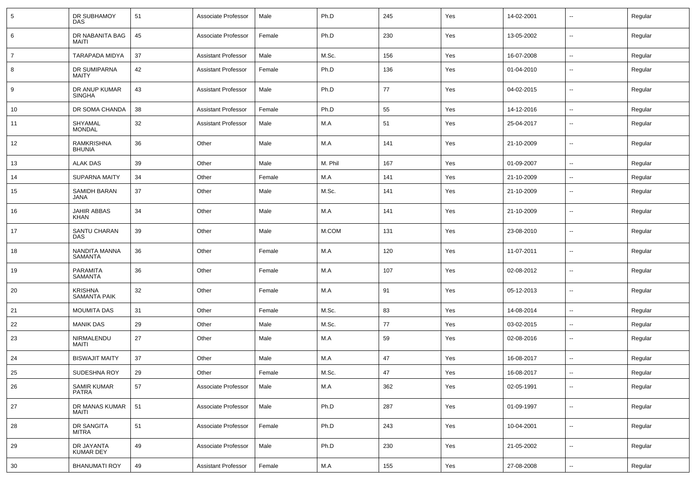| 5  | DR SUBHAMOY<br>DAS                    | 51 | Associate Professor        | Male   | Ph.D    | 245 | Yes | 14-02-2001 | $\overline{\phantom{a}}$ | Regular |
|----|---------------------------------------|----|----------------------------|--------|---------|-----|-----|------------|--------------------------|---------|
| 6  | DR NABANITA BAG<br><b>MAITI</b>       | 45 | Associate Professor        | Female | Ph.D    | 230 | Yes | 13-05-2002 | ⊷.                       | Regular |
| 7  | <b>TARAPADA MIDYA</b>                 | 37 | <b>Assistant Professor</b> | Male   | M.Sc.   | 156 | Yes | 16-07-2008 | ⊷.                       | Regular |
| 8  | DR SUMIPARNA<br><b>MAITY</b>          | 42 | <b>Assistant Professor</b> | Female | Ph.D    | 136 | Yes | 01-04-2010 | $\overline{\phantom{a}}$ | Regular |
| 9  | DR ANUP KUMAR<br><b>SINGHA</b>        | 43 | <b>Assistant Professor</b> | Male   | Ph.D    | 77  | Yes | 04-02-2015 | ⊷.                       | Regular |
| 10 | DR SOMA CHANDA                        | 38 | <b>Assistant Professor</b> | Female | Ph.D    | 55  | Yes | 14-12-2016 | $\overline{\phantom{a}}$ | Regular |
| 11 | SHYAMAL<br><b>MONDAL</b>              | 32 | <b>Assistant Professor</b> | Male   | M.A     | 51  | Yes | 25-04-2017 | --                       | Regular |
| 12 | RAMKRISHNA<br><b>BHUNIA</b>           | 36 | Other                      | Male   | M.A     | 141 | Yes | 21-10-2009 | --                       | Regular |
| 13 | <b>ALAK DAS</b>                       | 39 | Other                      | Male   | M. Phil | 167 | Yes | 01-09-2007 | $\overline{\phantom{a}}$ | Regular |
| 14 | <b>SUPARNA MAITY</b>                  | 34 | Other                      | Female | M.A     | 141 | Yes | 21-10-2009 | $\overline{\phantom{a}}$ | Regular |
| 15 | SAMIDH BARAN<br><b>JANA</b>           | 37 | Other                      | Male   | M.Sc.   | 141 | Yes | 21-10-2009 | $\overline{\phantom{a}}$ | Regular |
| 16 | JAHIR ABBAS<br><b>KHAN</b>            | 34 | Other                      | Male   | M.A     | 141 | Yes | 21-10-2009 | $\sim$                   | Regular |
| 17 | SANTU CHARAN<br>DAS                   | 39 | Other                      | Male   | M.COM   | 131 | Yes | 23-08-2010 | ⊷.                       | Regular |
| 18 | NANDITA MANNA<br>SAMANTA              | 36 | Other                      | Female | M.A     | 120 | Yes | 11-07-2011 | Ξ.                       | Regular |
| 19 | <b>PARAMITA</b><br><b>SAMANTA</b>     | 36 | Other                      | Female | M.A     | 107 | Yes | 02-08-2012 | ⊷.                       | Regular |
| 20 | <b>KRISHNA</b><br><b>SAMANTA PAIK</b> | 32 | Other                      | Female | M.A     | 91  | Yes | 05-12-2013 | Ξ.                       | Regular |
| 21 | <b>MOUMITA DAS</b>                    | 31 | Other                      | Female | M.Sc.   | 83  | Yes | 14-08-2014 | Ξ.                       | Regular |
| 22 | <b>MANIK DAS</b>                      | 29 | Other                      | Male   | M.Sc.   | 77  | Yes | 03-02-2015 | ⊷.                       | Regular |
| 23 | NIRMALENDU<br>MAITI                   | 27 | Other                      | Male   | M.A     | 59  | Yes | 02-08-2016 | ⊷.                       | Regular |
| 24 | <b>BISWAJIT MAITY</b>                 | 37 | Other                      | Male   | M.A     | 47  | Yes | 16-08-2017 | ⊷.                       | Regular |
| 25 | <b>SUDESHNA ROY</b>                   | 29 | Other                      | Female | M.Sc.   | 47  | Yes | 16-08-2017 | -−                       | Regular |
| 26 | SAMIR KUMAR<br>PATRA                  | 57 | Associate Professor        | Male   | M.A     | 362 | Yes | 02-05-1991 | $\overline{\phantom{a}}$ | Regular |
| 27 | DR MANAS KUMAR<br>MAITI               | 51 | Associate Professor        | Male   | Ph.D    | 287 | Yes | 01-09-1997 | $\sim$                   | Regular |
| 28 | DR SANGITA<br>MITRA                   | 51 | Associate Professor        | Female | Ph.D    | 243 | Yes | 10-04-2001 | н.                       | Regular |
| 29 | DR JAYANTA<br>KUMAR DEY               | 49 | Associate Professor        | Male   | Ph.D    | 230 | Yes | 21-05-2002 | $\sim$                   | Regular |
| 30 | <b>BHANUMATI ROY</b>                  | 49 | <b>Assistant Professor</b> | Female | M.A     | 155 | Yes | 27-08-2008 | −−                       | Regular |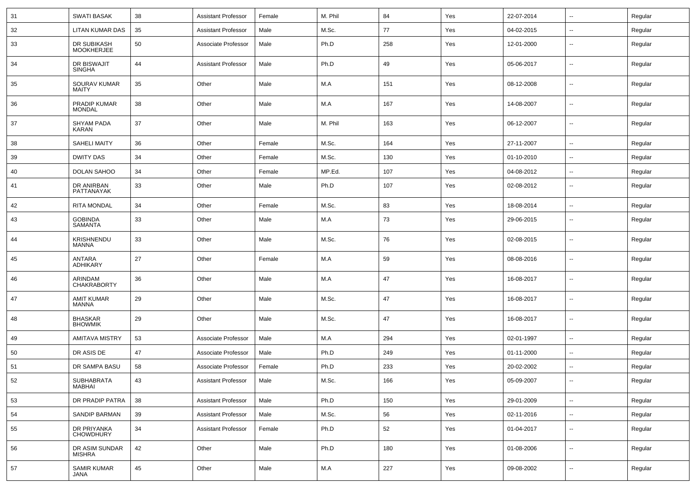| 31 | <b>SWATI BASAK</b>               | 38 | <b>Assistant Professor</b> | Female | M. Phil | 84  | Yes | 22-07-2014 | $\sim$                   | Regular |
|----|----------------------------------|----|----------------------------|--------|---------|-----|-----|------------|--------------------------|---------|
| 32 | LITAN KUMAR DAS                  | 35 | <b>Assistant Professor</b> | Male   | M.Sc.   | 77  | Yes | 04-02-2015 | $\overline{\phantom{a}}$ | Regular |
| 33 | DR SUBIKASH<br><b>MOOKHERJEE</b> | 50 | Associate Professor        | Male   | Ph.D    | 258 | Yes | 12-01-2000 | $\overline{\phantom{a}}$ | Regular |
| 34 | DR BISWAJIT<br><b>SINGHA</b>     | 44 | <b>Assistant Professor</b> | Male   | Ph.D    | 49  | Yes | 05-06-2017 | $\overline{\phantom{a}}$ | Regular |
| 35 | SOURAV KUMAR<br><b>MAITY</b>     | 35 | Other                      | Male   | M.A     | 151 | Yes | 08-12-2008 | н.                       | Regular |
| 36 | PRADIP KUMAR<br><b>MONDAL</b>    | 38 | Other                      | Male   | M.A     | 167 | Yes | 14-08-2007 | $\overline{\phantom{a}}$ | Regular |
| 37 | SHYAM PADA<br>KARAN              | 37 | Other                      | Male   | M. Phil | 163 | Yes | 06-12-2007 | ⊷.                       | Regular |
| 38 | <b>SAHELI MAITY</b>              | 36 | Other                      | Female | M.Sc.   | 164 | Yes | 27-11-2007 | $\overline{\phantom{a}}$ | Regular |
| 39 | <b>DWITY DAS</b>                 | 34 | Other                      | Female | M.Sc.   | 130 | Yes | 01-10-2010 | $\overline{\phantom{a}}$ | Regular |
| 40 | DOLAN SAHOO                      | 34 | Other                      | Female | MP.Ed.  | 107 | Yes | 04-08-2012 | $\overline{\phantom{a}}$ | Regular |
| 41 | DR ANIRBAN<br>PATTANAYAK         | 33 | Other                      | Male   | Ph.D    | 107 | Yes | 02-08-2012 | $\overline{\phantom{a}}$ | Regular |
| 42 | <b>RITA MONDAL</b>               | 34 | Other                      | Female | M.Sc.   | 83  | Yes | 18-08-2014 | Ξ.                       | Regular |
| 43 | <b>GOBINDA</b><br><b>SAMANTA</b> | 33 | Other                      | Male   | M.A     | 73  | Yes | 29-06-2015 | --                       | Regular |
| 44 | KRISHNENDU<br>MANNA              | 33 | Other                      | Male   | M.Sc.   | 76  | Yes | 02-08-2015 | $\overline{\phantom{a}}$ | Regular |
| 45 | ANTARA<br>ADHIKARY               | 27 | Other                      | Female | M.A     | 59  | Yes | 08-08-2016 | $\overline{\phantom{a}}$ | Regular |
| 46 | ARINDAM<br><b>CHAKRABORTY</b>    | 36 | Other                      | Male   | M.A     | 47  | Yes | 16-08-2017 | --                       | Regular |
| 47 | <b>AMIT KUMAR</b><br>MANNA       | 29 | Other                      | Male   | M.Sc.   | 47  | Yes | 16-08-2017 | $\overline{\phantom{a}}$ | Regular |
| 48 | <b>BHASKAR</b><br><b>BHOWMIK</b> | 29 | Other                      | Male   | M.Sc.   | 47  | Yes | 16-08-2017 | --                       | Regular |
| 49 | <b>AMITAVA MISTRY</b>            | 53 | Associate Professor        | Male   | M.A     | 294 | Yes | 02-01-1997 | $\overline{\phantom{a}}$ | Regular |
| 50 | DR ASIS DE                       | 47 | Associate Professor        | Male   | Ph.D    | 249 | Yes | 01-11-2000 | ⊷.                       | Regular |
| 51 | DR SAMPA BASU                    | 58 | Associate Professor        | Female | Ph.D    | 233 | Yes | 20-02-2002 | $\overline{\phantom{a}}$ | Regular |
| 52 | SUBHABRATA<br>MABHAI             | 43 | <b>Assistant Professor</b> | Male   | M.Sc.   | 166 | Yes | 05-09-2007 | $\overline{\phantom{a}}$ | Regular |
| 53 | DR PRADIP PATRA                  | 38 | <b>Assistant Professor</b> | Male   | Ph.D    | 150 | Yes | 29-01-2009 | $\sim$                   | Regular |
| 54 | SANDIP BARMAN                    | 39 | <b>Assistant Professor</b> | Male   | M.Sc.   | 56  | Yes | 02-11-2016 | $\sim$                   | Regular |
| 55 | DR PRIYANKA<br>CHOWDHURY         | 34 | <b>Assistant Professor</b> | Female | Ph.D    | 52  | Yes | 01-04-2017 | $\overline{\phantom{a}}$ | Regular |
| 56 | DR ASIM SUNDAR<br><b>MISHRA</b>  | 42 | Other                      | Male   | Ph.D    | 180 | Yes | 01-08-2006 | н.                       | Regular |
| 57 | <b>SAMIR KUMAR</b><br>JANA       | 45 | Other                      | Male   | M.A     | 227 | Yes | 09-08-2002 | $\sim$                   | Regular |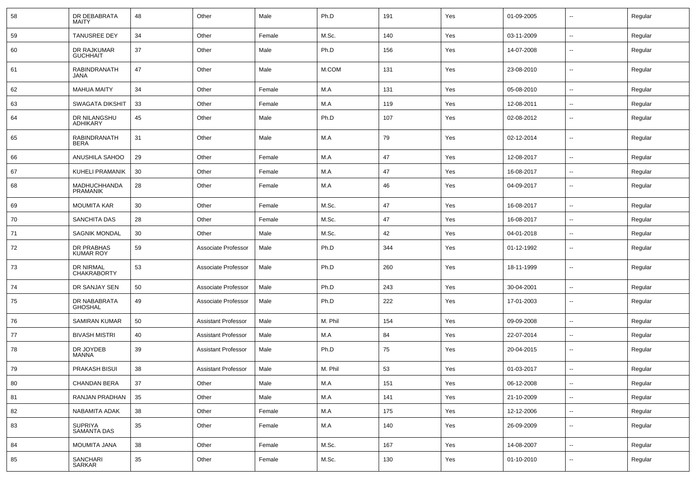| 58     | DR DEBABRATA<br>MAITY           | 48 | Other                      | Male   | Ph.D    | 191 | Yes | 01-09-2005 | $\overline{\phantom{a}}$ | Regular |
|--------|---------------------------------|----|----------------------------|--------|---------|-----|-----|------------|--------------------------|---------|
| 59     | <b>TANUSREE DEY</b>             | 34 | Other                      | Female | M.Sc.   | 140 | Yes | 03-11-2009 | $\sim$                   | Regular |
| 60     | DR RAJKUMAR<br><b>GUCHHAIT</b>  | 37 | Other                      | Male   | Ph.D    | 156 | Yes | 14-07-2008 | --                       | Regular |
| 61     | RABINDRANATH<br>JANA            | 47 | Other                      | Male   | M.COM   | 131 | Yes | 23-08-2010 | $\overline{\phantom{a}}$ | Regular |
| 62     | <b>MAHUA MAITY</b>              | 34 | Other                      | Female | M.A     | 131 | Yes | 05-08-2010 | --                       | Regular |
| 63     | <b>SWAGATA DIKSHIT</b>          | 33 | Other                      | Female | M.A     | 119 | Yes | 12-08-2011 | $\sim$                   | Regular |
| 64     | DR NILANGSHU<br>ADHIKARY        | 45 | Other                      | Male   | Ph.D    | 107 | Yes | 02-08-2012 | $\overline{\phantom{a}}$ | Regular |
| 65     | RABINDRANATH<br><b>BERA</b>     | 31 | Other                      | Male   | M.A     | 79  | Yes | 02-12-2014 | $\overline{\phantom{a}}$ | Regular |
| 66     | ANUSHILA SAHOO                  | 29 | Other                      | Female | M.A     | 47  | Yes | 12-08-2017 | --                       | Regular |
| 67     | <b>KUHELI PRAMANIK</b>          | 30 | Other                      | Female | M.A     | 47  | Yes | 16-08-2017 | $\overline{\phantom{a}}$ | Regular |
| 68     | MADHUCHHANDA<br><b>PRAMANIK</b> | 28 | Other                      | Female | M.A     | 46  | Yes | 04-09-2017 | $\overline{\phantom{a}}$ | Regular |
| 69     | <b>MOUMITA KAR</b>              | 30 | Other                      | Female | M.Sc.   | 47  | Yes | 16-08-2017 | $\sim$                   | Regular |
| 70     | <b>SANCHITA DAS</b>             | 28 | Other                      | Female | M.Sc.   | 47  | Yes | 16-08-2017 | $\overline{\phantom{a}}$ | Regular |
| 71     | <b>SAGNIK MONDAL</b>            | 30 | Other                      | Male   | M.Sc.   | 42  | Yes | 04-01-2018 | --                       | Regular |
| 72     | DR PRABHAS<br><b>KUMAR ROY</b>  | 59 | Associate Professor        | Male   | Ph.D    | 344 | Yes | 01-12-1992 | --                       | Regular |
| 73     | DR NIRMAL<br><b>CHAKRABORTY</b> | 53 | Associate Professor        | Male   | Ph.D    | 260 | Yes | 18-11-1999 | $\overline{\phantom{a}}$ | Regular |
| 74     | DR SANJAY SEN                   | 50 | Associate Professor        | Male   | Ph.D    | 243 | Yes | 30-04-2001 | -−                       | Regular |
| 75     | DR NABABRATA<br><b>GHOSHAL</b>  | 49 | Associate Professor        | Male   | Ph.D    | 222 | Yes | 17-01-2003 | --                       | Regular |
| 76     | <b>SAMIRAN KUMAR</b>            | 50 | <b>Assistant Professor</b> | Male   | M. Phil | 154 | Yes | 09-09-2008 | $\overline{\phantom{a}}$ | Regular |
| 77     | <b>BIVASH MISTRI</b>            | 40 | <b>Assistant Professor</b> | Male   | M.A     | 84  | Yes | 22-07-2014 | --                       | Regular |
| 78     | DR JOYDEB<br>MANNA              | 39 | <b>Assistant Professor</b> | Male   | Ph.D    | 75  | Yes | 20-04-2015 | $\overline{\phantom{a}}$ | Regular |
| 79     | <b>PRAKASH BISUI</b>            | 38 | <b>Assistant Professor</b> | Male   | M. Phil | 53  | Yes | 01-03-2017 | $\overline{\phantom{a}}$ | Regular |
| 80     | <b>CHANDAN BERA</b>             | 37 | Other                      | Male   | M.A     | 151 | Yes | 06-12-2008 | $\sim$                   | Regular |
| 81     | RANJAN PRADHAN                  | 35 | Other                      | Male   | M.A     | 141 | Yes | 21-10-2009 | $\sim$                   | Regular |
| 82     | NABAMITA ADAK                   | 38 | Other                      | Female | M.A     | 175 | Yes | 12-12-2006 | $\sim$                   | Regular |
| 83     | SUPRIYA<br>SAMANTA DAS          | 35 | Other                      | Female | M.A     | 140 | Yes | 26-09-2009 | $\sim$                   | Regular |
| 84     | MOUMITA JANA                    | 38 | Other                      | Female | M.Sc.   | 167 | Yes | 14-08-2007 | $\sim$                   | Regular |
| $85\,$ | SANCHARI<br>SARKAR              | 35 | Other                      | Female | M.Sc.   | 130 | Yes | 01-10-2010 | $\overline{\phantom{a}}$ | Regular |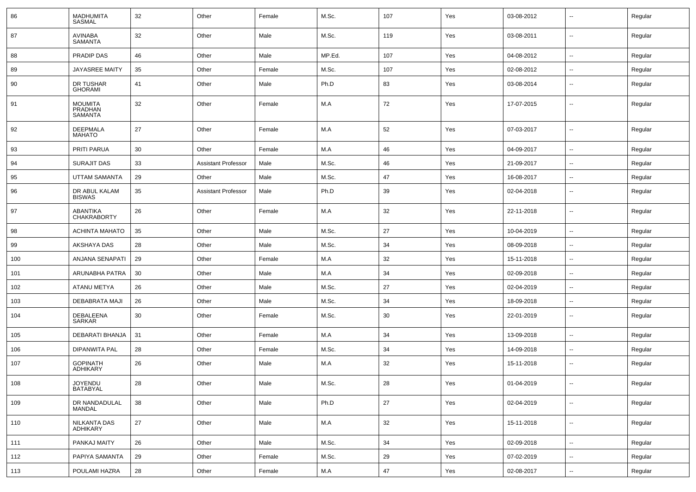| 86  | <b>MADHUMITA</b><br><b>SASMAL</b>           | 32 | Other                      | Female | M.Sc.  | 107 | Yes | 03-08-2012 | --                       | Regular |
|-----|---------------------------------------------|----|----------------------------|--------|--------|-----|-----|------------|--------------------------|---------|
| 87  | <b>AVINABA</b><br><b>SAMANTA</b>            | 32 | Other                      | Male   | M.Sc.  | 119 | Yes | 03-08-2011 | $\overline{\phantom{a}}$ | Regular |
| 88  | PRADIP DAS                                  | 46 | Other                      | Male   | MP.Ed. | 107 | Yes | 04-08-2012 | ⊷.                       | Regular |
| 89  | <b>JAYASREE MAITY</b>                       | 35 | Other                      | Female | M.Sc.  | 107 | Yes | 02-08-2012 | --                       | Regular |
| 90  | DR TUSHAR<br><b>GHORAMI</b>                 | 41 | Other                      | Male   | Ph.D   | 83  | Yes | 03-08-2014 | $\overline{\phantom{a}}$ | Regular |
| 91  | <b>MOUMITA</b><br>PRADHAN<br><b>SAMANTA</b> | 32 | Other                      | Female | M.A    | 72  | Yes | 17-07-2015 | $\overline{\phantom{a}}$ | Regular |
| 92  | <b>DEEPMALA</b><br><b>MAHATO</b>            | 27 | Other                      | Female | M.A    | 52  | Yes | 07-03-2017 | --                       | Regular |
| 93  | PRITI PARUA                                 | 30 | Other                      | Female | M.A    | 46  | Yes | 04-09-2017 | ⊷.                       | Regular |
| 94  | SURAJIT DAS                                 | 33 | <b>Assistant Professor</b> | Male   | M.Sc.  | 46  | Yes | 21-09-2017 | $\overline{\phantom{a}}$ | Regular |
| 95  | UTTAM SAMANTA                               | 29 | Other                      | Male   | M.Sc.  | 47  | Yes | 16-08-2017 | $\overline{\phantom{a}}$ | Regular |
| 96  | DR ABUL KALAM<br><b>BISWAS</b>              | 35 | <b>Assistant Professor</b> | Male   | Ph.D   | 39  | Yes | 02-04-2018 | --                       | Regular |
| 97  | ABANTIKA<br><b>CHAKRABORTY</b>              | 26 | Other                      | Female | M.A    | 32  | Yes | 22-11-2018 | --                       | Regular |
| 98  | <b>ACHINTA MAHATO</b>                       | 35 | Other                      | Male   | M.Sc.  | 27  | Yes | 10-04-2019 | --                       | Regular |
| 99  | AKSHAYA DAS                                 | 28 | Other                      | Male   | M.Sc.  | 34  | Yes | 08-09-2018 | $\overline{\phantom{a}}$ | Regular |
| 100 | ANJANA SENAPATI                             | 29 | Other                      | Female | M.A    | 32  | Yes | 15-11-2018 | н.                       | Regular |
| 101 | ARUNABHA PATRA                              | 30 | Other                      | Male   | M.A    | 34  | Yes | 02-09-2018 | --                       | Regular |
| 102 | ATANU METYA                                 | 26 | Other                      | Male   | M.Sc.  | 27  | Yes | 02-04-2019 | $\overline{\phantom{a}}$ | Regular |
| 103 | DEBABRATA MAJI                              | 26 | Other                      | Male   | M.Sc.  | 34  | Yes | 18-09-2018 | $\overline{a}$           | Regular |
| 104 | DEBALEENA<br>SARKAR                         | 30 | Other                      | Female | M.Sc.  | 30  | Yes | 22-01-2019 | --                       | Regular |
| 105 | <b>DEBARATI BHANJA</b>                      | 31 | Other                      | Female | M.A    | 34  | Yes | 13-09-2018 | --                       | Regular |
| 106 | DIPANWITA PAL                               | 28 | Other                      | Female | M.Sc.  | 34  | Yes | 14-09-2018 | $\overline{\phantom{a}}$ | Regular |
| 107 | <b>GOPINATH</b><br><b>ADHIKARY</b>          | 26 | Other                      | Male   | M.A    | 32  | Yes | 15-11-2018 | --                       | Regular |
| 108 | JOYENDU<br>BATABYAL                         | 28 | Other                      | Male   | M.Sc.  | 28  | Yes | 01-04-2019 | $\sim$                   | Regular |
| 109 | DR NANDADULAL<br>MANDAL                     | 38 | Other                      | Male   | Ph.D   | 27  | Yes | 02-04-2019 | $\overline{\phantom{a}}$ | Regular |
| 110 | NILKANTA DAS<br>ADHIKARY                    | 27 | Other                      | Male   | M.A    | 32  | Yes | 15-11-2018 | $\overline{\phantom{a}}$ | Regular |
| 111 | PANKAJ MAITY                                | 26 | Other                      | Male   | M.Sc.  | 34  | Yes | 02-09-2018 | $\overline{\phantom{a}}$ | Regular |
| 112 | PAPIYA SAMANTA                              | 29 | Other                      | Female | M.Sc.  | 29  | Yes | 07-02-2019 | $\sim$                   | Regular |
| 113 | POULAMI HAZRA                               | 28 | Other                      | Female | M.A    | 47  | Yes | 02-08-2017 | $\sim$                   | Regular |